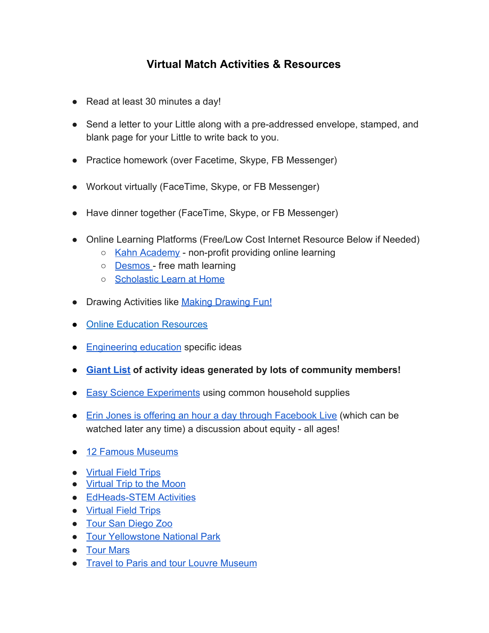## **Virtual Match Activities & Resources**

- Read at least 30 minutes a day!
- Send a letter to your Little along with a pre-addressed envelope, stamped, and blank page for your Little to write back to you.
- Practice homework (over Facetime, Skype, FB Messenger)
- Workout virtually (FaceTime, Skype, or FB Messenger)
- Have dinner together (FaceTime, Skype, or FB Messenger)
- Online Learning Platforms (Free/Low Cost Internet Resource Below if Needed)
	- [Kahn Academy](https://www.khanacademy.org/)  non-profit providing online learning
	- [Desmos](https://www.desmos.com/)  free math learning
	- [Scholastic Learn at Home](https://classroommagazines.scholastic.com/support/learnathome.html?fbclid=IwAR1O_GZEW5UkpfL8JHp9mESpHedfuMpKGBDK0nDbQfAC0MnZIOZ2BMPaoz8)
- Drawing Activities like [Making Drawing Fun!](https://www.carlasonheim.com/product-category/classes/free-classes/?mc_cid=f3ba23937a&mc_eid=6a1b0bcd65&fbclid=IwAR3Woib4_WCbRI0op8LxHrrw8N9uBcmuyD0g7nP6aG6uCY9WLkIE2HCviqw)
- [Online Education Resources](http://www.amazingeducationalresources.com/)
- [Engineering education](https://docs.google.com/document/d/1oCM2Ue9w32EUIGfRXsjwEXU_-Up8D6FSSWT8YGiBEtE/preview?fbclid=IwAR1qF7bddPoXlkoRMNUXtMPVcQQfnzuGkv_vdcUO8rqmTh8jgXPdD0XS3XI) specific ideas
- **● [Giant List](https://docs.google.com/document/d/1o6kEgCKLn3cyIm2hehhhSTIk7yRTd0C3zx49JS4wwCI/preview?fbclid=IwAR1XMoBgbLqB0W4QHpKyeFCy126BcexwYoQpZ3KC89FARksm3iEZgCQc1so) of activity ideas generated by lots of community members!**
- [Easy Science Experiments](https://mommypoppins.com/kids/50-easy-science-experiments-for-kids-fun-educational-activities-using-household-stuff) using common household supplies
- [Erin Jones is offering an hour a day through Facebook Live](https://www.facebook.com/erinjonesdreams/?__tn__=K-R&eid=ARDR4afQz8uVlGS6QWgUwGi3JTdmka21SvGTY1_CcRdC24TvuArSQZ6iNZWyftoXrFs62xO967Ew9otR&fref=mentions&__xts__%5b0%5d=68.ARDA03Enu7U2xXsyyZo-E1uMEeddA-YIpPD0GDxZ_nQpWLaP2v8EyaZ09ufsC3pR7TZKEade0kc04p3yYkA-R1REEmCRj38fPeC9uzJFDZz_8yQg7xVn3Nq9Afbv2OSCgR4eaTJlOYe-F3SuAJ2VMFnk5I6qKcSu4vQZzg-4eiKtfklKNL3BaRg-Tvt4UfaFhoV_0s4AowXk0FmGTtgmRZ02wCMBpCa7WOAnXu-3cOlkCpo6cL5T-1WxfRwWq6zQC8HCHu3wpCLUk555XGOHiihtHi_-hvMCcGo4oATqtBbcL8TUPnIlza70pws6_370k-mpSSE2OjbuZ73cZ36egGdJkw) (which can be watched later any time) a discussion about equity - all ages!
- [12 Famous Museums](https://www.travelandleisure.com/attractions/museums-galleries/museums-with-virtual-tours?fbclid=IwAR2FsurdODFaqxtXnh_6yCsICouHOlQDHiBgrpz5eT4E0Bs4A-9GuuMqxuE)
- [Virtual Field Trips](https://www.nature.org/en-us/about-us/where-we-work/united-states/oklahoma/stories-in-oklahoma/ok360-virtual-field-trips/?gclid=CjwKCAjwgbLzBRBsEiwAXVIygCm8iTqEz9VDb8gFWfZaqjIP0gDoII4VGqWVlLwqQUyvRVP4Ks_RgBoCnrsQAvD_BwE&gclsrc=aw.ds)
- [Virtual Trip to the Moon](https://moon.nasa.gov/)
- [EdHeads-STEM Activities](https://edheads.org/general/register_member_type.asp?)
- [Virtual Field Trips](https://adventuresinfamilyhood.com/20-virtual-field-trips-to-take-with-your-kids.html)
- [Tour San Diego Zoo](https://kids.sandiegozoo.org/)
- [Tour Yellowstone National Park](https://www.nps.gov/yell/learn/photosmultimedia/virtualtours.htm)
- [Tour Mars](https://accessmars.withgoogle.com/)
- [Travel to Paris and tour Louvre Museum](https://www.louvre.fr/en/visites-en-ligne)